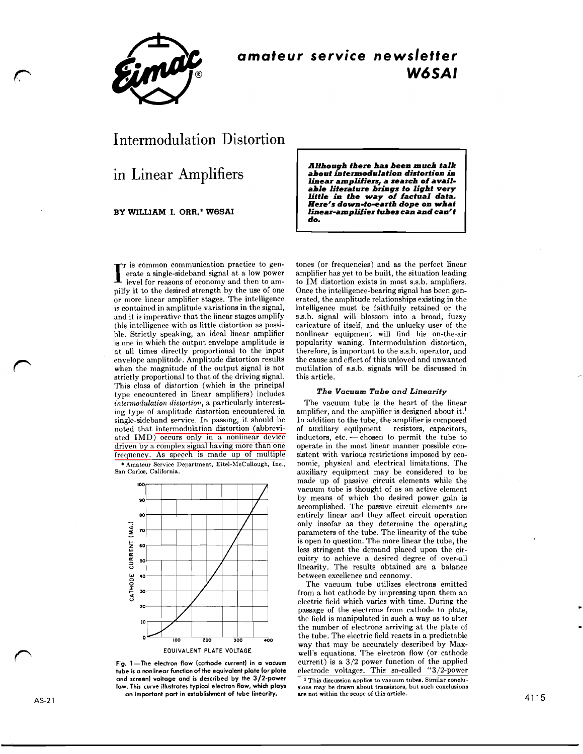

## **amateur service newsletter W6SAI**

# Intermodulation Distortion

in Linear Amplifiers

**BY WILLIAM I. ORR.\* W6SAI** 

 $\Gamma$  is common communication practice to generate a single-sideband signal at a low power<br>level for reasons of economy and then to amerate a single-sideband signal at a low power level for reasons of economy and then to ampilfy it to the desired strength by the use of one or more linear amplifier stages. The intelligence is contained in amplitude variations in the signal, and it is imperative that the linear stages amplify this intelligence with as little distortion as possible. Strictly speaking, an ideal linear amplifier is one in which the output envelope amplitude is at all times directly proportional to the input envelope amplitude. Amplitude distortion results when the magnitude of the output signal is not strictly proportional to that of the driving signal. This class of distortion (which is the principal type encountered in linear amplifiers) includes *intermodulation distortion,* a particularly interest ing type of amplitude distortion encountered in single-sideband service. In passing, it should be noted that intermodulation distortion (abbreviated IMD) occurs only in a nonlinear device driven by a complex signal having more than one frequency. As speech is made up of multiple \* **Amateur Service Department. Eitel-hlcCullough, Inc., San Carlos, California.** 



**Fig. 1 -The electron flow (cathode current) in a vacuum tube is a nonlinear function of the equivalent plate (or plate and screen) voltage and is described by the 3/2-power law. This curve illustrates typical electron flow, which plays an important part in establishment of tube linearity.** 

*Although there has been much talk about intermodulation distortion ia linear amplifiers, a search of available literature brings to light very little in the way of factual data. Here's down-to-earth dope on what linear-amplifier tubes can and can't do.* 

tones (or frequencies) and as the perfect linear amplifier has yet to be built, the situation leading to IM distortion exists in most 8.s.b. amplifiers. Once the intelligence-bearing signal has been generated, the amplitude relationships existing in the intelligence must be faithfully retained or the s.s.b. signal will blossom into a broad, fuzzy caricature of itself, and the unlucky user of the nonlinear equipment will find his on-the-air popularity waning. Intermodulation distortion, therefore, is important to the 8.s.h. operator, and the cause and effect of this unloved and unwanted mutilation of s.s.b. signals will be discussed in this article.

#### *The* **Vacuum** *Tube and Linearity*

The vacuum tube is the heart of the linear amplifier, and the amplifier is designed ahout it.' In addition to the tube, the amplifier is composed ampliher, and the ampliher is designed about it.<br>
In addition to the tube, the amplifier is composed<br>
of auxiliary equipment -- resistors, capacitors,<br>
inductors, cate -- chosen to parmit the tube to In addition to the tube, the amplifier is composed<br>of auxiliary equipment — resistors, capacitors,<br>inductors, etc. — chosen to permit the tube to<br>persta in the most linear manner possible conoperate in the most linear manner possible consistent with various restrictions imposed by economic, physical and electrical limitations. The auxiliary equipment may be considered to be made up of passive circuit elements while the vacuum tube is thought of **as** an active element by means of which the desired power gain is accomplished. The passive circuit elements are entirely linear and they affect circuit operation only insofar as they determine the operating parameters of the tube. The linearity of the tube is open to question. The more linear the tube, the less stringent the demand placed upon the circuitry to achieve a desired degree of over-all linearity. The results obtained are a balance between excellence and economy.

The vacuum tube utilizes electrons emitted from a hot cathode by impressing upon them an electric field which varies with time. During the paasage of the electrons from cathode to plate, the field is manipulated in such a way as to alter the number of electrons arriving at the plate of the tube. The electric field reacts in a predictable way that may be accurately described by Maxwell's equations. The electron flow (or cathode current) is a  $3/2$  power function of the applied electrode voltages. This so-called "3/2-power

<sup>1</sup> This discussion applies to vacuum tubes. Similar conclusions may be drawn about transistors, but such conclusions **are not wlthin the scope of this article.**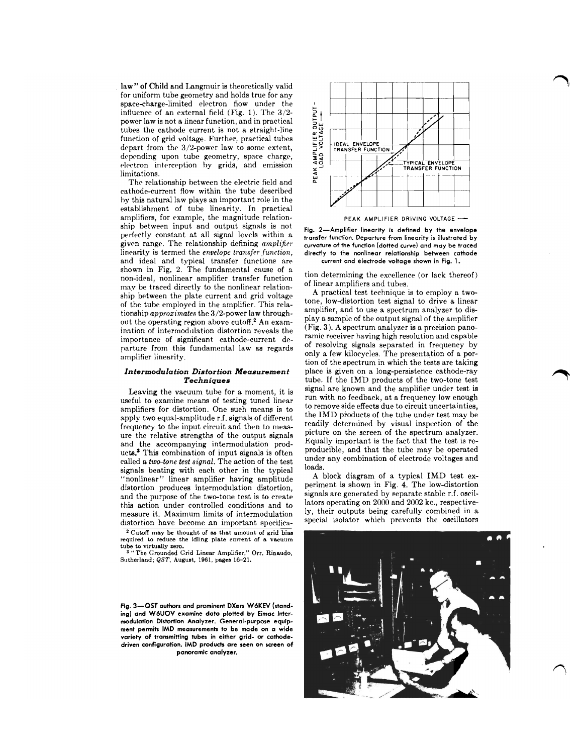law" of Child and Langmuir is theoretically valid for uniform tube geometry and holds true for any space-charge-limited electron flow under the influence of an external field (Fig. 1). The 3/2 power law is not a linear function, and in practical tubes the cathode current is not a straight-line function of grid voltage. Further, practical tubes depart from the 3/2-power law to some extent, depending upon tube geometry, space charge, electron interception by grids, and emission limitations.

The relationship between the electric field and cathode-current flow within the tube described hy this natural law plays an important role in the establishment of tube linearity. In practical amplifiers, for example, the magnitude relationship between input and output signals is not perfectly constant at all signal levels within a given range. The relationship defining *amplifier* linearity is termed the *envelope transfer function,*  and ideal and typical transfer functions are shown in Fig. 2. The fundamental cause of a non-idpal, nonlinear amplifier transfer function mav be traced directly to the nonlinear relationship between the plate current and grid voltage of the tube employed in the amplifier. This relationship *approzimates* the 3/2-power law throughout the operating reglon above cutoff.2 **An** examination of intermodulation distortion reveals the importance of significant cathode-current departure from this fundamental law as regards amplifier linearity.

### **Intermodulation Distortion Measurement Techniques**

Leaving the vacuum tube for a moment, it is useful to examine means of testing tuned linear amplifiers for distortion. One such means is to apply two equal-amplitude r.f. signals of different frequency to the input circuit and then to measure the relative strengths of the output signals and the accompanying intermodulation producta? This combination of input signals is often called a *two-lone test signal.* The action of the test signals beating with each other in the typical "nonlinear" linear amplifier having amplitude distortion produces intermodulation distortion, and the purpose of the two-tone test is to create this action under controlled conditions and to measure it. Maximum limits of intermodulation distortion have become an important specifica-

**Cutoff may be thought of as that amount of grid bias**  required to reduce the idling plate current of a vacuum **tube to virtually zero. "The Grounded Grld Linear Amplifier." Orr. Rinaudo.** 

**Sutherland: QST. August. 1961, pages 16-21.** 

**Fig. 3-QST authors and prominent DXers W6KEV (standing) and W6UOV examine data plotted by Eimac Intermodulation Distortion Analyzer. General-purpose equipment permits IMD measurements to be mode on a wide variety of transmitting tubes in either grid- or cathodedriven configuration. IMD products are seen on screen of panoramic analyzer.** 



**PEAK AMPLIFIER DRIVING VOLTAGE** -

**Fig. 2-Amplifier linearity is defined by the envelope transfer function. Departure from linearity is illustrated by curvature of the function (dotted curve) and may be traced directly to the nonlinear relationship between cathode current and electrode voltage shown in Fig. 1.** 

tion determining the excellence (or lack thereof) of linear amplifiers and tubes.

**A** practical test technique is to employ a twotone, low-distortion test signal to drive a linear amplifier, and to use a spectrum analyzer to display a sample of the output signal of the amplifier (Fig. 3). **A** spectrum analyzer is a precision panoramic receiver having high resolution and capable of resolving signals separated in frequency by only a few kilocycles. The presentation of a portion of the spectrum in which the tests are taking place is given on a long-persistence cathode-ray tube. If the IMD products of the two-tone test signal are known and the amplifier under test is run with no feedback, at a frequency low enough to remove side effects due to circuit uncertainties, the IMD products of the tube under test may be readily determined by visual inspection of the picture on the screen of the spectrum analyzer. Equally important is the fact that the test is reproducible, and that the tube may be operated under any combination of electrode voltages and loads.

**A** block diagram of a typical IMD test experiment is shown in Fig. 4. The low-distortion signals are generated by eeparate stable r.f. oscillators operating on 2000 and 2002 kc., respectively, their outputs being carefully combined in a special isolator which prevents the oscillators

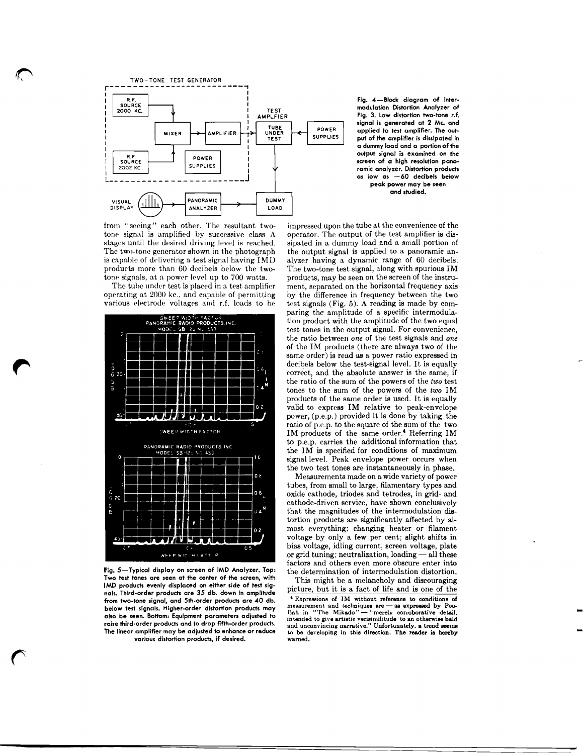

**I Fig. 4-Block diagram of Inter-**<br>I modulation Distortion Analyzer of MPLFIER<br>Tig. 3. Low distortion two-tone r.f. **Inodulation Distortion Analyzer of** Fig. 3. Low distortion two-tone r.f. **signal is generated at 2 Mc and applied to test omplifier. The output of the amplifier is dissipated in a dummy load and o portion of the output signal is examined on the as low as -60 decibels below** 

from "seeing" each other. The resultant twotone signal is amplified by successive class A stages until the desired driving level is reached. The two-tone generator shown in the photograph is capable of delivering a test signal having IMD products more than 60 decibels below the twotone signals, at a power level up to 700 watts.

The tube under test is placed in a test amplifier operating at 2000 kc., and capable of permitting various electrode voltages and r.f. loads to be



Fig. 5-Typical display on screen of IMD Analyzer. Top: the determination of intermodulation distortion.<br>Two test tones are seen at the center of the screen, with This might be a melancholy and discouraging IMD products evenly displaced on either side of test sig-<br>nals. Third-order products are 35 db. down in amplitude **below test signals. Higher-order distortion products may measurement and techniques are - as expressed by Poo-<br>
<b>below test signals. Higher-order distortion products may** Bah in "The Mikado"— "merely corroborative detail, **various distortion products, if desired. warned.** 

impressed upor, the tube at the convenience of the operator. The output of the test amplifier is dissipated in a dummy load and a small portion of the output signal is applied to a panoramic analyzer having a dynamic range of 60 decibels. The two-tone test signal, along with spurious IM products, may be seen on the screen of the instrument, separated on the horizontal frequency axis by the difference in frequency between the two test signals (Fig.  $5$ ). A reading is made by comparing the amplitude of a specific intermodulation product with the amplitude of the two equal test tones in the output signal. For convenience, the ratio between *one* of the test signals and *one*  of the IM products (there are always two of the same order) is read as a power ratio expressed in decibels below the test-signal level. It is equally correct, and the absolute answer is the same, if<br>the ratio of the sum of the powers of the *two* test the ratio of the sum of the powers of the **two** test tones to the sum of the powers of the **two** IM products of the same order is used. It is equally valid to express IM relative to peak-envelope power,  $(p.e.p.)$  provided it is done by taking the ratio of p.e.p. to the square of the sum of the two IM products of the same order.<sup>4</sup> Referring IM to p.e.p. carries the additional information that the IM is specified for conditions of maximum signal level. Peak envelope power occurs when the two test tones are instantaneously in phase.

e two test tones are instantaneously in phase.<br>Measurements made on a wide variety of power<br>bos. from small to large, filamentary types and tubes, from small to large, filamentary types and oxide cathode, triodes and tetrodes, in grid- and cathode-driven service, have shown conclusively that the magnitudes of the intermodulation distortion products are significantly affected by almost everything: changing heater or filament voltage by only a few per cent; slight shifts in bias voltage, idling current, screen voltage, plate voltage by only a few per cent; slight shifts in<br>bias voltage, idling current, screen voltage, plate<br>or grid tuning; neutralization, loading — all these<br>fectors and others even more obseure anter into factors and others even more obscure enter into or grid tuning; neutralization, loading  $-$  all these

IMD products evenly displaced on either side of test sig-<br>nals. Third-order products are 35 db. down in amplitude<br>from two-tone signal, and 5th-order products are 40 db.<br> $\frac{1}{2}$  Expressions of IM without reference to co from two-tone signal, and 5th-order products are 40 db.<br>below test signal, and 5th-order products are 40 db.<br>below test signals. Higher-order distortion products may<br>also be seen. Bottom: Equipment parameters adjusted to<br> The linear amplifier may be adjusted to the linear amplifier may be active intended to give artistic verisimilitude to an otherwise bald<br>The linear amplifier may be adjusted to enhance or reduce the best of the linear ampl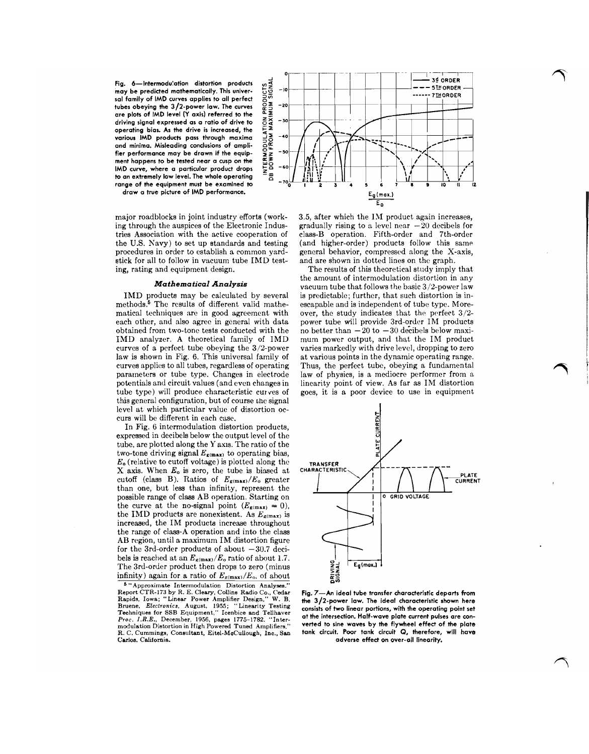Fig. 6—Intermodulation distortion products  $4 \times 3$ <br>
may be predicted mathematically. This universed in the predict of the predict of the predict of the curves  $2 \times 3$ <br>
tubes obeying the 3/2-power law. The curves  $2 \times 3$ <br> **may be predicted mathematically. This univer-**  $55 - 10$  $s$ al family of IMD curves applies to all perfect tubes obeying the 3/2-power law. The curves  $\overline{S} = -20$ **are plots of IMD level (Y axis) referred to the**  driving signal expressed as a ratio of drive to operating bias. As the drive is increased, the  $\frac{1}{4}$ <br>various IMD products pass through maxima<br>of minima. Misleading conculsions of ampli-<br>fer performance may be drawn if the equip-<br>ment happens to be tested near a cus various IMD products pass through maxima  $\frac{3}{2}$  <sup>-40</sup> **and minima. Misleading conclusions of ampli- 32**  fier performance may be drawn if the equip-  $\frac{1}{2}$   $\frac{3}{2}$  -50 ment happens to be tested near a cusp on the **IMD curve, where a particular product drops**  $\begin{array}{r} \n\overline{2} \\
\overline{0} \\
\overline{0}\n\end{array}$  to an extremely low level. The whole operating  $\begin{array}{r} \n\overline{2} \\
\overline{0}\n\end{array}$ range of the equipment must be examined to



major roadblocks in joint industry efforts (work- 3.5, after which the IM product again increases, stick for all to follow in vacuum tube IMD testing, rating and equipment design. The results of this theoretical study imply that

curves of a perfect tube obeying the  $3/2$ -power law is shown in Fig. 6. This universal family of this general configuration, but of course chc signal level at which particular value of distortion oc-

curs will be different in each case.<br>
In Fig. 6 intermodulation distortion products,<br>
expressed in decibels below the output level of the<br>
tube, are plotted along the Y axis. The ratio of the<br>
two-tone driving signal  $E_{\$ In Fig. 6 intermodulation distortion products, expressed in decibels below the output level of the **<sup>3</sup>** tube, are plotted along the Y axis. The ratio of the two-tone driving signal  $E_{g(\text{max})}$  to operating bias,  $E_0$  (relative to cutoff voltage) is plotted along the **TRANSFER X** axis. When  $E_0$  is zero, the tube is biased at **CHARACTERISTIC** cutoff (class B). Ratios of  $E_{\rm g(max)}/E_{\rm o}$  greater than one, but less than infinity, represent the possible range of class AB operation. Starting on **I CONTEXT AGE I I O** GRID VOLTAGE the curve at the no-signal point  $(E_{\mathbf{g}(\text{max})} = 0)$ , the IMD products are nonexistent. As  $E_{\text{g(max)}}$  is increased, the IM products increase throughout the range of class-A operation and into the class AB region, until a maximum IM distortion figure for the 3rd-order products of about  $-30.7$  decibels is reached at an  $E_{\kappa(max)}/E_o$  ratio of about 1.7. The 3rd-order product then drops to zero (minus **Epideman)**<br>
infinity) again for a ratio of  $E_{E(\text{max})}/E_0$ , of about **Epideman Epideman Epideman Epideman Epideman Epideman Epideman Epideman Epideman Epid** infinity) again for a ratio of  $E_{\rm g(max)}/E_{\rm o}$ , of about

**\$5 b "Approximate Intermodulation Distortion Analysee."**  Report CTR-173 by R. E. Cleary, Collins Radio Co., Cedar Fig. 7—An ideal tube transfer characteristic departs from<br>Rapids, Iowa; "Linear Power Amplifier Design." W. B. He 3/2-power law. The ideal characteristic shown here<br> recally the interval Diplomation, Actional School Children at the intersection, Half-wave plate current pulses are con-<br>Proc. I.R.E., December, 1956, pages 1775-1782. "Inter- at the intersection, Half-wave plate current pu **R. C. Cummings, Consultant, Eitel-MoCuUough, Inc.,** Sari **tank circuit. Poor tank circuit Q, therefore, will have Carlos. California. California. California. adverse effect on over-all linearity.** 



ing through the auspices of the Electronic Indus-<br>
gradually rising to a level near  $-20$  decibels for<br>
tries Association with the active cooperation of class-B operation. Fifth-order and 7th-order class-B operation. Fifth-order and 7th-order the U.S. Navy) to set up standards and testing (and higher-order) products follow this same<br>procedures in order to establish a common yard-<br>general behavior, compressed along the X-axis, general behavior, compressed along the X-axis, and are shown in dotted lines on the graph.

the amount of intermodulation distortion in any<br>**Mathematical Analysis** vacuum tube that follows the basic 3/2-power law<br>IMD products may be calculated by several is predictable; further, that such distortion is in-IMD products may be calculated by several is predictable; further, that such distortion is in-<br>methods.<sup>5</sup> The results of different valid mathe-escapable and is independent of tube type. Moreescapable and is independent of tube type. Morematical techniques are in good agreement with over, the study indicates that the perfect  $3/2$ -each other, and also agree in general with data power tube will provide  $3rd$ -order IM products power tube will provide 3rd-order IM products obtained from two-tone tests conducted with the no better than  $-20$  to  $-30$  decibels below maxi-IMD analyzer. A theoretical family of IMD mum power output, and that the IM product mum power output, and that the IM product varies markedly with drive level, dropping to zero law is shown in Fig. 6. This universal family of at various points in the dynamic operating range.<br>curves applies to all tubes, regardless of operating Thus, the perfect tube, obeying a fundamental Thus, the perfect tube, obeying a fundamental parameters or tube type. Changes in electrode law of physics, is a mediocre performer from a potentials and circuit values (and even changes in linearity point of view. As far as IM distortion linearity point of view. As far as IM distortion tube type) will produce characteristic curves of goes, it is a poor device to use in equipment

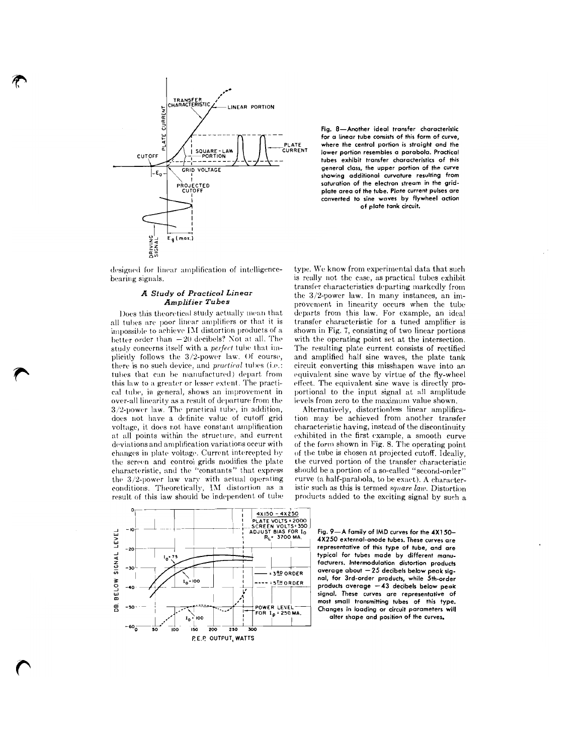

**Fig. 8-Another ideal transfer characteristic for a linear tube consists of this form of curve,**  PLATE **where the central portion is straight and the** lower portion resembles a parabola. Practica! **tubes exhibit transfer characteristics of this general class, the upper portion of the curve showing additional curvature resulting from**  plate area of the tube. Plate current pulses are **converted to sine waves by flywheel action of plate tank circuit.** 

Does this theoretical study actually mean that all tubes are poor linear amplifiers or that it is impossible to achieve IM distortion products of a better order than  $-20$  decibels? Not at all. The there is no such device, and *practical* tubes (i.e.: tubes that can be manufactured) depart from over-all linearity as a result of departure from the levels from zero to the maximum value shown.<br>3/2-power law. The practical tube, in addition, Alternatively, distortionless linear amplifica- $3/2$ -power law. The practical tube, in addition, does not have a definite value of cutoff grid does not have a definite value of cutoff grid tion may be achieved from another transfer voltage, it does not have constant amplification characteristic having, instead of the discontinuity voltage, it does not have constant amplification characteristic having, instead of the discontinuity at all points within the structure, and current exhibited in the first example, a smooth curve at all points within the structure, and current exhibited in the first example, a smooth curve deviations and amplification variations occur with of the form shown in Fig. 8. The operating point deviations and amplification variations occur with of the form shown in Fig. 8. The operating point changes in plate voltage. Current intercepted by of the tube is chosen at projected cutoff. Ideally changes in plate voltage. Current intercepted by of the tube is chosen at projected cutoff. Ideally, the screen and control grids modifies the plate the curved portion of the transfer characteristic the screen and control grids modifies the plate the curved portion of the transfer characteristic<br>characteristic, and the "constants" that express should be a portion of a so-called "second-order" the 3/2-power law vary with actual operating conditions. Theoretically, IM distortion as a

designed for linear amplification of intelligence- type. We know from experimental data that such bearing signals.<br>is really not the case, as practical tubes exhibit is really not the case, as practical tubes exhibit transfer characteristics departing markedly from *A Study of Practical Linear* the 3/2-power law. In many instances, an im-<br>*Amplifier Tubes* provement in linearity occurs when the tube provement in linearity occurs when the tube departs from this law. For example, an ideal transfer characteristic for a tuned amplifier is shown in Fig. 7, consisting of two linear portions better order than  $-20$  decibels? Not at all. The with the operating point set at the intersection. study concerns itself with a *perfect* tube that im-<br>The resulting plate current consists of rectified study concerns itself with a *perfect* tube that im-<br>pliesting plate current consists of rectified<br>pliestly follows the  $3/2$ -power law. Of course, and amplified half sine waves, the plate tank and amplified half sine waves, the plate tank<br>circuit converting this misshapen wave into an tubes that can be manufactured) depart from equivalent sine wave by virtue of the fly-wheel<br>this law to a greater or lesser extent. The practi-effect. The equivalent sine wave is directly prothis law to a greater or lesser extent. The practi-<br>effect. The equivalent sine wave is directly pro-<br>cal tube, in general, shows an improvement in portional to the input signal at all amplitude portional to the input signal at all amplitude<br>levels from zero to the maximum value shown.

should be a portion of a so-called "second-order" curve (a half-parabola, to be exact). A characterconditions. Theoretically, **IM** distortion as a istic such as this is termed *square law*. Distortion result of this law should be independent of tube products added to the exciting signal by such a products added to the exciting signal by such a



Fig. 9-A family of IMD curves for the 4X150-4X250 external-anode tubes. These curves are average about - 25 decibels below peak signal, for 3rd-order products, while 5th-order products average -43 decibels below peak signal. These curves are representative of most small transmitting tubes of this type. Changes in loading or circuit parameters will

**alter shape and position of the curves.**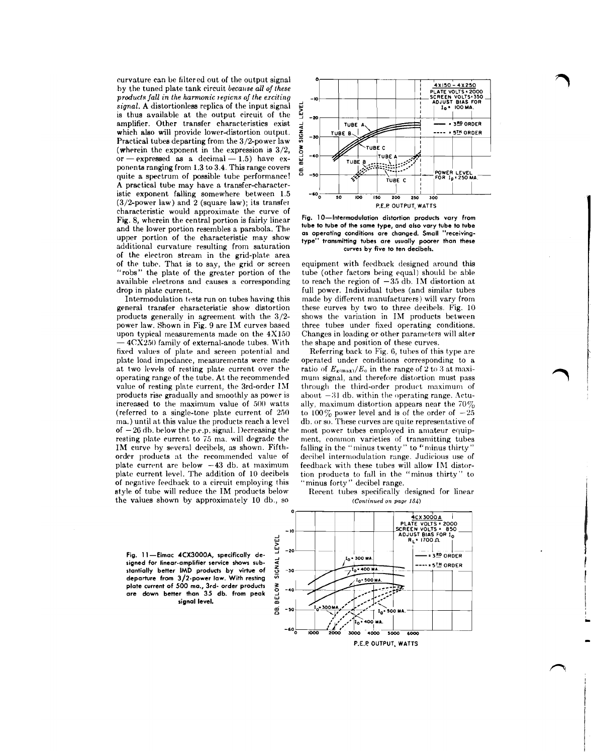curvature can be filtered out of the output signal by the tuned plate tank circuit *becalrse all of these products fall in the harmonic tegicns of the erciling signal. A* distortionless replica of the input signal is thus available at the output circuit of the amplifier. Other transfer characteristics exist which also will provide lower-distortion output. Practical tubes departing from the 3/2-power law Practical tubes departing from the 3/2-power law<br>
(wherein the exponent in the expression is  $3/2$ ,<br>
or -expressed as a decimal - 1.5) have ex-<br>  $\frac{3.4 \text{ N}}{24.1 \text{ N}}$ ponents ranging from 1.3 to 3.4. This range covers quite a spectrum of possible tube performance! A practical tube may have a transfer-characteristic exponent falling somewhere between 1.5 (3/2-power law) and **2** (square law); its transfer characteristic would approximate the curve of Fig. 8, wherein the central portion is fairly linear and the lower portion resembles a parabola. The upper portion of the characteristic may show additional curvature resulting from saturation of the electron stream in the grid-plate area of the tuhc. That is to say, the grid or screen "robs" the plate of the greater portion of the available electrons and causes a corresponding drop in plate current.

Intermodulation tests run on tubes having this general transfer characteristic show distortion products generally in agreement with the 3/2 power law. Shown in Fig. 9 are IM curves based power law. Shown in Fig. 9 are 1M curves based<br>
upon typical measurements made on the  $4X150$ <br>  $-4CX250$  family of external-anode tubes. With<br>  $\frac{6}{2}$ fixed values of plate and screen potential and plate load impedance, measurements were made at two levels of resting plate current over the operating range of the tube. At the recommended value of resting plate current, the 3rd-order **1x1**  products rise gradually and smoothly as power is increased to the maximum value of **500** watts (referred to a single-tone plate current of **250**  ma.) until at this value the products reach a level of **-20 dh.** below the p.e.p. signal. 1)ecreasing the resting plate current to 75 ma. will degrade the IM curve by several decibels, as shown. Fifthorder products at the recommended value of plate current are below **-43** db. at maximum plate current level. The addition of 10 decibels of negative feedback to a circuit employing this style of tube will reduce the IM products below the values shown by approximately 10 db., so



**Fig. 10-Intermodulation distortion products vary from tube to tube of the same type, and also vary tube to tube as operating conditions are changed. Small "receivingtype" transmitting tubes are usually poorer than these curves by five to ten decibels.** 

equipment with feedback designed around this tube (other factors being equal) should he able to reach the region of  $-35$  db. IM distortion at full power. Individual tubes (and similar tubes made by different manufacturers) will vary from these curves by two to three decibels. Fig. 10 shows the variation in IM products between three tubes under fixed operating conditions. Changes in loading or other parameters will alter the shape and position of these curves.

Referring back to Fig. 6, tubes of this type are operated under conditions corresponding to a ratio of  $E_{\rm g(m, x)}/E_0$  in the range of 2 to 3 at maximum signal, and therefore distortion must pass through the third-order product maximum of about  $-31$  db. within the operating range. Actually, maximum distortion appears near the  $70\%$ to 100 $\%$  power level and is of the order of  $-25$ db. or so. These curves are quite representative of most power tubes employed in amateur equipment, common varieties of transmitting tubes falling in the "minus twenty" to "minus thirty" decibel intermodulation range. Judicious use of feedback with these tubes will allow IM distortion products to fall in the "minus thirty" to "minus forty" decibel range.



**Fig. 1 l -Eimac ACX3000A. specifically de signed for linear-amplifier senice shows sub- 4**  stantially better IMD products by virtue of departure from 3/2-power law. With resting  $\overline{p}$ <br>plate current of 500 ma., 3rd- order products<br>are down better than 35 db. from peak  $\overline{p}$ <br>signal level. **plate current of 500 ma., 3rd- order products are down better than 35 db. from peak signal level.**